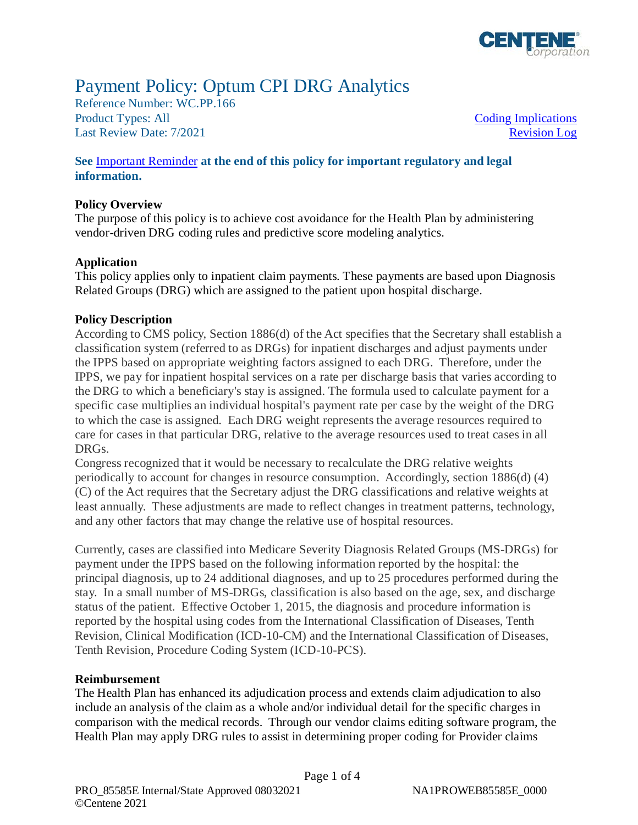

# Payment Policy: Optum CPI DRG Analytics

Reference Number: WC.PP.166 Product Types: All **Coding Implications** Last Review Date: 7/2021 Revision Log

#### **See** [Important Reminder](#page-1-0) **at the end of this policy for important regulatory and legal information.**

#### **Policy Overview**

 The purpose of this policy is to achieve cost avoidance for the Health Plan by administering vendor-driven DRG coding rules and predictive score modeling analytics.

#### **Application**

 This policy applies only to inpatient claim payments. These payments are based upon Diagnosis Related Groups (DRG) which are assigned to the patient upon hospital discharge.

#### **Policy Description**

 According to CMS policy, Section 1886(d) of the Act specifies that the Secretary shall establish a classification system (referred to as DRGs) for inpatient discharges and adjust payments under the IPPS based on appropriate weighting factors assigned to each DRG. Therefore, under the IPPS, we pay for inpatient hospital services on a rate per discharge basis that varies according to the DRG to which a beneficiary's stay is assigned. The formula used to calculate payment for a specific case multiplies an individual hospital's payment rate per case by the weight of the DRG to which the case is assigned. Each DRG weight represents the average resources required to care for cases in that particular DRG, relative to the average resources used to treat cases in all DRGs.

Congress recognized that it would be necessary to recalculate the DRG relative weights periodically to account for changes in resource consumption. Accordingly, section 1886(d) (4) (C) of the Act requires that the Secretary adjust the DRG classifications and relative weights at least annually. These adjustments are made to reflect changes in treatment patterns, technology, and any other factors that may change the relative use of hospital resources.

 Currently, cases are classified into Medicare Severity Diagnosis Related Groups (MS-DRGs) for payment under the IPPS based on the following information reported by the hospital: the principal diagnosis, up to 24 additional diagnoses, and up to 25 procedures performed during the stay. In a small number of MS-DRGs, classification is also based on the age, sex, and discharge status of the patient. Effective October 1, 2015, the diagnosis and procedure information is reported by the hospital using codes from the International Classification of Diseases, Tenth Revision, Clinical Modification (ICD-10-CM) and the International Classification of Diseases, Tenth Revision, Procedure Coding System (ICD-10-PCS).

#### **Reimbursement**

 The Health Plan has enhanced its adjudication process and extends claim adjudication to also include an analysis of the claim as a whole and/or individual detail for the specific charges in comparison with the medical records. Through our vendor claims editing software program, the Health Plan may apply DRG rules to assist in determining proper coding for Provider claims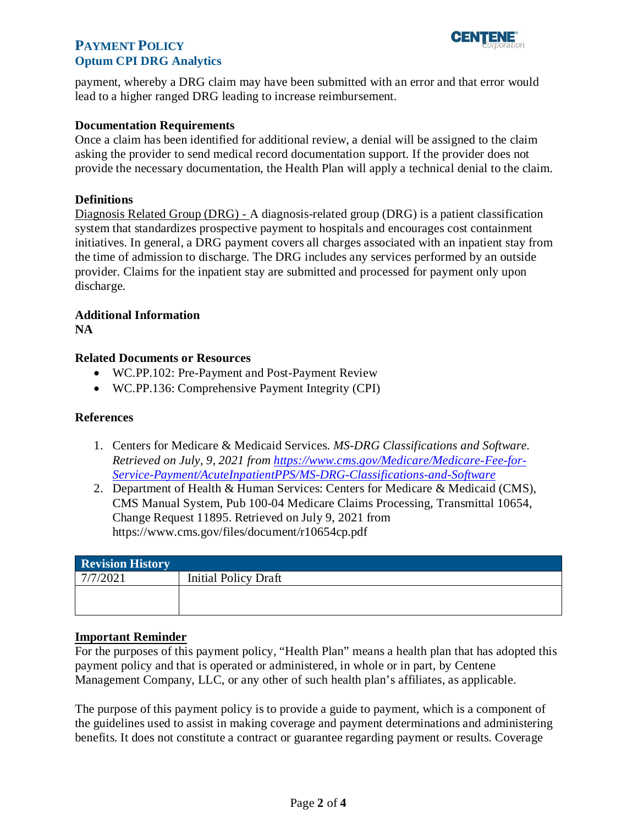

## <span id="page-1-0"></span>**PAYMENT POLICY PHIDRG Analytics**

payment, whereby a DRG claim may have been submitted with an error and that error would lead to a higher ranged DRG leading to increase reimbursement.

#### **Documentation Requirements**

 Once a claim has been identified for additional review, a denial will be assigned to the claim asking the provider to send medical record documentation support. If the provider does not provide the necessary documentation, the Health Plan will apply a technical denial to the claim.

#### **Definitions**

Diagnosis Related Group (DRG) - A diagnosis-related group (DRG) is a patient classification system that standardizes prospective payment to hospitals and encourages cost containment initiatives. In general, a DRG payment covers all charges associated with an inpatient stay from the time of admission to discharge. The DRG includes any services performed by an outside provider. Claims for the inpatient stay are submitted and processed for payment only upon discharge.

## **Additional Information**

**NA** 

#### **Related Documents or Resources**

- WC.PP.102: Pre-Payment and Post-Payment Review
- WC.PP.136: Comprehensive Payment Integrity (CPI)

#### **References**

- 1. Centers for Medicare & Medicaid Services. *MS-DRG Classifications and Software. Retrieved on July, 9, 2021 from [https://www.cms.gov/Medicare/Medicare-Fee-for-](https://www.cms.gov/Medicare/Medicare-Fee-for-Service-Payment/AcuteInpatientPPS/MS-DRG-Classifications-and-Software)[Service-Payment/AcuteInpatientPPS/MS-DRG-Classifications-and-Software](https://www.cms.gov/Medicare/Medicare-Fee-for-Service-Payment/AcuteInpatientPPS/MS-DRG-Classifications-and-Software)*
- 2. Department of Health & Human Services: Centers for Medicare & Medicaid (CMS), CMS Manual System, Pub 100-04 Medicare Claims Processing, Transmittal 10654, Change Request 11895. Retrieved on July 9, 2021 from <https://www.cms.gov/files/document/r10654cp.pdf>

| Revision History |                             |
|------------------|-----------------------------|
| 7/7/2021         | <b>Initial Policy Draft</b> |
|                  |                             |
|                  |                             |

#### **Important Reminder**

 For the purposes of this payment policy, "Health Plan" means a health plan that has adopted this payment policy and that is operated or administered, in whole or in part, by Centene Management Company, LLC, or any other of such health plan's affiliates, as applicable.

 The purpose of this payment policy is to provide a guide to payment, which is a component of the guidelines used to assist in making coverage and payment determinations and administering benefits. It does not constitute a contract or guarantee regarding payment or results. Coverage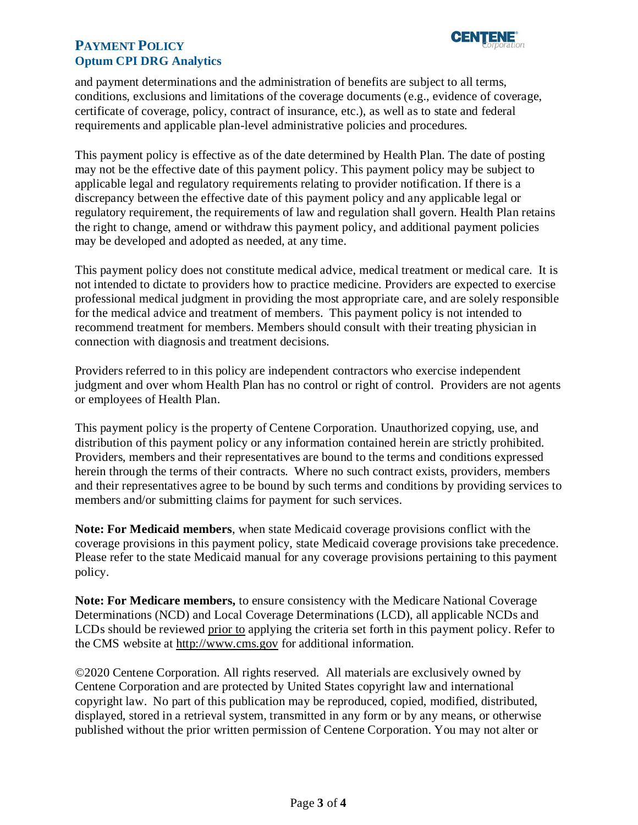

## **PAYMENT POLICY PHIDRG Analytics**

 and payment determinations and the administration of benefits are subject to all terms, conditions, exclusions and limitations of the coverage documents (e.g., evidence of coverage, certificate of coverage, policy, contract of insurance, etc.), as well as to state and federal requirements and applicable plan-level administrative policies and procedures.

 This payment policy is effective as of the date determined by Health Plan. The date of posting may not be the effective date of this payment policy. This payment policy may be subject to discrepancy between the effective date of this payment policy and any applicable legal or regulatory requirement, the requirements of law and regulation shall govern. Health Plan retains the right to change, amend or withdraw this payment policy, and additional payment policies applicable legal and regulatory requirements relating to provider notification. If there is a may be developed and adopted as needed, at any time.

 This payment policy does not constitute medical advice, medical treatment or medical care. It is not intended to dictate to providers how to practice medicine. Providers are expected to exercise for the medical advice and treatment of members. This payment policy is not intended to professional medical judgment in providing the most appropriate care, and are solely responsible recommend treatment for members. Members should consult with their treating physician in connection with diagnosis and treatment decisions.

 Providers referred to in this policy are independent contractors who exercise independent judgment and over whom Health Plan has no control or right of control. Providers are not agents or employees of Health Plan.

distribution of this payment policy or any information contained herein are strictly prohibited. herein through the terms of their contracts. Where no such contract exists, providers, members and their representatives agree to be bound by such terms and conditions by providing services to members and/or submitting claims for payment for such services. This payment policy is the property of Centene Corporation. Unauthorized copying, use, and Providers, members and their representatives are bound to the terms and conditions expressed.

 coverage provisions in this payment policy, state Medicaid coverage provisions take precedence. Please refer to the state Medicaid manual for any coverage provisions pertaining to this payment **Note: For Medicaid members**, when state Medicaid coverage provisions conflict with the policy.

**Note: For Medicare members,** to ensure consistency with the Medicare National Coverage Determinations (NCD) and Local Coverage Determinations (LCD), all applicable NCDs and LCDs should be reviewed prior to applying the criteria set forth in this payment policy. Refer to the CMS website at [http://www.cms.gov](http://www.cms.gov/) for additional information.

 ©2020 Centene Corporation. All rights reserved. All materials are exclusively owned by Centene Corporation and are protected by United States copyright law and international copyright law. No part of this publication may be reproduced, copied, modified, distributed, published without the prior written permission of Centene Corporation. You may not alter or displayed, stored in a retrieval system, transmitted in any form or by any means, or otherwise